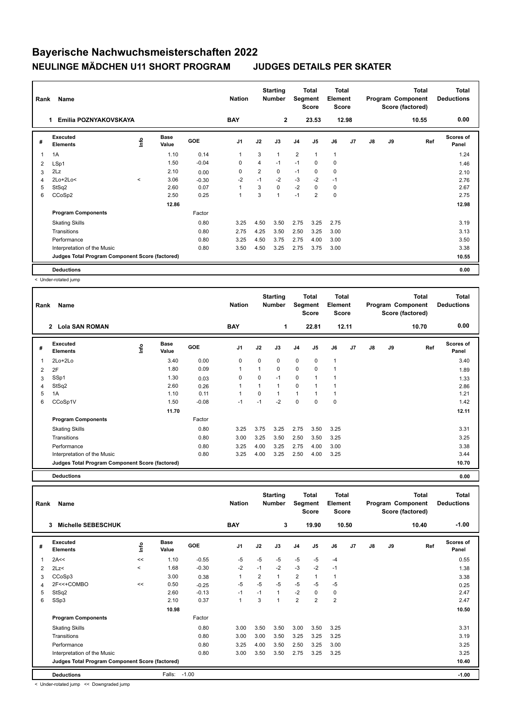## **Bayerische Nachwuchsmeisterschaften 2022 NEULINGE MÄDCHEN U11 SHORT PROGRAM JUDGES DETAILS PER SKATER**

| Rank           | Name                                            |         |                      |         | <b>Nation</b>  |                | <b>Starting</b><br><b>Number</b> | Segment        | <b>Total</b><br><b>Score</b> | <b>Total</b><br>Element<br><b>Score</b> |    |               |    | <b>Total</b><br>Program Component<br>Score (factored) | <b>Total</b><br><b>Deductions</b> |
|----------------|-------------------------------------------------|---------|----------------------|---------|----------------|----------------|----------------------------------|----------------|------------------------------|-----------------------------------------|----|---------------|----|-------------------------------------------------------|-----------------------------------|
|                | Emilia POZNYAKOVSKAYA                           |         |                      |         | <b>BAY</b>     |                | $\mathbf{2}$                     |                | 23.53                        | 12.98                                   |    |               |    | 10.55                                                 | 0.00                              |
| #              | Executed<br><b>Elements</b>                     | ١nto    | <b>Base</b><br>Value | GOE     | J <sub>1</sub> | J2             | J3                               | J <sub>4</sub> | J <sub>5</sub>               | J6                                      | J7 | $\mathsf{J}8$ | J9 | Ref                                                   | <b>Scores of</b><br>Panel         |
| $\overline{1}$ | 1A                                              |         | 1.10                 | 0.14    | 1              | 3              | 1                                | 2              | 1                            | $\mathbf{1}$                            |    |               |    |                                                       | 1.24                              |
| 2              | LSp1                                            |         | 1.50                 | $-0.04$ | 0              | 4              | $-1$                             | $-1$           | 0                            | 0                                       |    |               |    |                                                       | 1.46                              |
| 3              | 2Lz                                             |         | 2.10                 | 0.00    | $\mathbf 0$    | $\overline{2}$ | 0                                | $-1$           | $\mathbf 0$                  | $\mathbf 0$                             |    |               |    |                                                       | 2.10                              |
| 4              | $2Lo+2Lo<$                                      | $\prec$ | 3.06                 | $-0.30$ | $-2$           | $-1$           | $-2$                             | $-3$           | $-2$                         | $-1$                                    |    |               |    |                                                       | 2.76                              |
| 5              | StSq2                                           |         | 2.60                 | 0.07    | 1              | 3              | 0                                | $-2$           | $\Omega$                     | 0                                       |    |               |    |                                                       | 2.67                              |
| 6              | CCoSp2                                          |         | 2.50                 | 0.25    | 1              | 3              | $\overline{1}$                   | $-1$           | $\overline{2}$               | $\mathbf 0$                             |    |               |    |                                                       | 2.75                              |
|                |                                                 |         | 12.86                |         |                |                |                                  |                |                              |                                         |    |               |    |                                                       | 12.98                             |
|                | <b>Program Components</b>                       |         |                      | Factor  |                |                |                                  |                |                              |                                         |    |               |    |                                                       |                                   |
|                | <b>Skating Skills</b>                           |         |                      | 0.80    | 3.25           | 4.50           | 3.50                             | 2.75           | 3.25                         | 2.75                                    |    |               |    |                                                       | 3.19                              |
|                | Transitions                                     |         |                      | 0.80    | 2.75           | 4.25           | 3.50                             | 2.50           | 3.25                         | 3.00                                    |    |               |    |                                                       | 3.13                              |
|                | Performance                                     |         |                      | 0.80    | 3.25           | 4.50           | 3.75                             | 2.75           | 4.00                         | 3.00                                    |    |               |    |                                                       | 3.50                              |
|                | Interpretation of the Music                     |         |                      | 0.80    | 3.50           | 4.50           | 3.25                             | 2.75           | 3.75                         | 3.00                                    |    |               |    |                                                       | 3.38                              |
|                | Judges Total Program Component Score (factored) |         |                      |         |                |                |                                  |                |                              |                                         |    |               |    |                                                       | 10.55                             |
|                | <b>Deductions</b>                               |         |                      |         |                |                |                                  |                |                              |                                         |    |               |    |                                                       | 0.00                              |

< Under-rotated jump

| Rank | Name                                            |    |                      |         | <b>Nation</b>  |          | <b>Starting</b><br><b>Number</b> | Segment        | Total<br><b>Score</b> | <b>Total</b><br>Element<br><b>Score</b> |                |               |       | <b>Total</b><br>Program Component<br>Score (factored) | <b>Total</b><br><b>Deductions</b> |
|------|-------------------------------------------------|----|----------------------|---------|----------------|----------|----------------------------------|----------------|-----------------------|-----------------------------------------|----------------|---------------|-------|-------------------------------------------------------|-----------------------------------|
|      | $\overline{2}$<br><b>Lola SAN ROMAN</b>         |    |                      |         | <b>BAY</b>     |          | 1                                |                | 22.81                 |                                         | 12.11          |               |       | 10.70                                                 | 0.00                              |
| #    | <b>Executed</b><br><b>Elements</b>              | ١m | <b>Base</b><br>Value | GOE     | J <sub>1</sub> | J2       | J3                               | J <sub>4</sub> | J5                    | J6                                      | J <sub>7</sub> | $\mathsf{J}8$ | J9    | Ref                                                   | <b>Scores of</b><br>Panel         |
| 1    | $2Lo+2Lo$                                       |    | 3.40                 | 0.00    | 0              | $\Omega$ | 0                                | $\mathbf 0$    | 0                     | $\mathbf{1}$                            |                |               |       |                                                       | 3.40                              |
| 2    | 2F                                              |    | 1.80                 | 0.09    | $\overline{1}$ |          | 0                                | $\mathbf 0$    | 0                     | 1                                       |                |               |       |                                                       | 1.89                              |
| 3    | SSp1                                            |    | 1.30                 | 0.03    | 0              | $\Omega$ | $-1$                             | 0              |                       | 1                                       |                |               |       |                                                       | 1.33                              |
| 4    | StSq2                                           |    | 2.60                 | 0.26    | $\mathbf{1}$   |          | 1                                | $\mathbf 0$    |                       | 1                                       |                |               |       |                                                       | 2.86                              |
| 5    | 1A                                              |    | 1.10                 | 0.11    | $\overline{1}$ | $\Omega$ | 1                                | $\mathbf{1}$   |                       | 1                                       |                |               |       |                                                       | 1.21                              |
| 6    | CCoSp1V                                         |    | 1.50                 | $-0.08$ | $-1$           | $-1$     | $-2$                             | $\mathbf 0$    | $\Omega$              | 0                                       |                |               |       |                                                       | 1.42                              |
|      |                                                 |    | 11.70                |         |                |          |                                  |                |                       |                                         |                |               |       |                                                       | 12.11                             |
|      | <b>Program Components</b>                       |    |                      | Factor  |                |          |                                  |                |                       |                                         |                |               |       |                                                       |                                   |
|      | <b>Skating Skills</b>                           |    |                      | 0.80    | 3.25           | 3.75     | 3.25                             | 2.75           | 3.50                  | 3.25                                    |                |               |       |                                                       | 3.31                              |
|      | Transitions                                     |    |                      | 0.80    | 3.00           | 3.25     | 3.50                             | 2.50           | 3.50                  | 3.25                                    |                |               |       |                                                       | 3.25                              |
|      | Performance                                     |    |                      | 0.80    | 3.25           | 4.00     | 3.25                             | 2.75           | 4.00                  | 3.00                                    |                |               |       |                                                       | 3.38                              |
|      | Interpretation of the Music                     |    |                      | 0.80    | 3.25           | 4.00     | 3.25                             | 2.50           | 4.00                  | 3.25                                    |                |               |       |                                                       | 3.44                              |
|      | Judges Total Program Component Score (factored) |    |                      |         |                |          |                                  |                |                       |                                         |                |               | 10.70 |                                                       |                                   |

**Deductions 0.00**

**Total Deductions Total Program Component Score (factored) Total Element Score Total Segment Score Starting Rank Name Nation Number # Executed Elements Base Value GOE J1 J2 J3 J4 J5 J6 J7 J8 J9 Scores of Panel** 1 1.10 -0.55 -5 -5 -5 -5 -5 -4 **Ref**  2A<< << 0.55 **Info 3 Michelle SEBESCHUK BAY 3 19.90 10.50 10.40 -1.00** 2 2Lz< < 1.68 -0.30 -2 -1 -2 -3 -2 -1 1.38 3 CCoSp3 3.00 0.38 1 2 1 2 1 1 3.38 4 2F<<+COMBO << 0.50 -0.25 -5 -5 -5 -5 -5 -5 0.25 5 StSq2 2.60 -0.13 -1 -1 1 -2 0 0 2.47 6 SSp3 2.10 0.37 1 3 1 2 2 2 2.47  **10.98** 10.50 **10.50 Program Components**  Skating Skills 3.00 3.50 3.50 3.50 3.50 3.50 3.25 Factor 0.80 3.00 3.50 3.00 3.50 3.50 3.25 3.31 Transitions 0.80 3.00 3.00 3.50 3.25 3.25 3.25 3.19 Performance 0.80 3.25 4.00 3.50 2.50 3.25 3.00 3.25 Interpretation of the Music 0.80 3.00 3.50 3.50 2.75 3.25 3.25 3.25 **Deductions** Falls: -1.00 **-1.00 Judges Total Program Component Score (factored) 10.40**

< Under-rotated jump << Downgraded jump